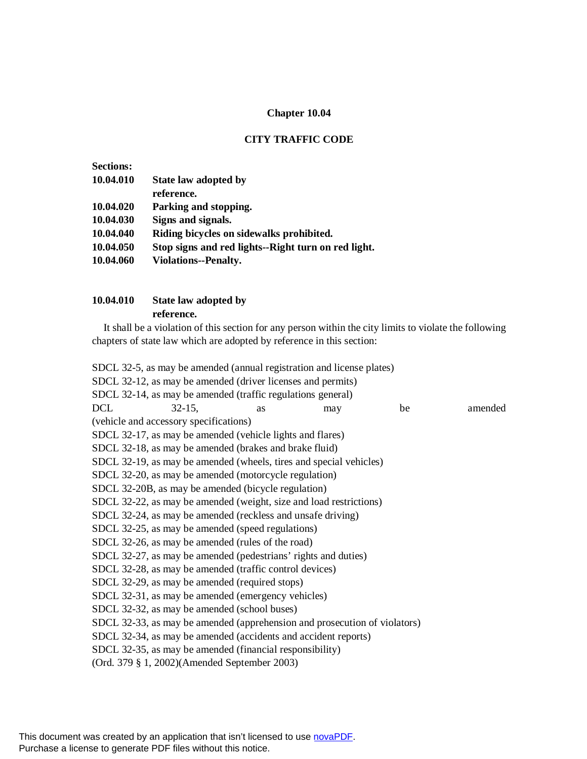# **Chapter 10.04**

## **CITY TRAFFIC CODE**

| <b>Sections:</b> |                                                     |
|------------------|-----------------------------------------------------|
| 10.04.010        | State law adopted by                                |
|                  | reference.                                          |
| 10.04.020        | Parking and stopping.                               |
| 10.04.030        | Signs and signals.                                  |
| 10.04.040        | Riding bicycles on sidewalks prohibited.            |
| 10.04.050        | Stop signs and red lights--Right turn on red light. |
| 10.04.060        | <b>Violations--Penalty.</b>                         |
|                  |                                                     |

## **10.04.010 State law adopted by reference.**

It shall be a violation of this section for any person within the city limits to violate the following chapters of state law which are adopted by reference in this section:

|                                                                           | SDCL 32-5, as may be amended (annual registration and license plates) |    |     |    |         |  |  |
|---------------------------------------------------------------------------|-----------------------------------------------------------------------|----|-----|----|---------|--|--|
|                                                                           | SDCL 32-12, as may be amended (driver licenses and permits)           |    |     |    |         |  |  |
|                                                                           | SDCL 32-14, as may be amended (traffic regulations general)           |    |     |    |         |  |  |
| <b>DCL</b>                                                                | $32-15$ ,                                                             | as | may | be | amended |  |  |
|                                                                           | (vehicle and accessory specifications)                                |    |     |    |         |  |  |
|                                                                           | SDCL 32-17, as may be amended (vehicle lights and flares)             |    |     |    |         |  |  |
|                                                                           | SDCL 32-18, as may be amended (brakes and brake fluid)                |    |     |    |         |  |  |
|                                                                           | SDCL 32-19, as may be amended (wheels, tires and special vehicles)    |    |     |    |         |  |  |
|                                                                           | SDCL 32-20, as may be amended (motorcycle regulation)                 |    |     |    |         |  |  |
|                                                                           | SDCL 32-20B, as may be amended (bicycle regulation)                   |    |     |    |         |  |  |
|                                                                           | SDCL 32-22, as may be amended (weight, size and load restrictions)    |    |     |    |         |  |  |
| SDCL 32-24, as may be amended (reckless and unsafe driving)               |                                                                       |    |     |    |         |  |  |
|                                                                           | SDCL 32-25, as may be amended (speed regulations)                     |    |     |    |         |  |  |
|                                                                           | SDCL 32-26, as may be amended (rules of the road)                     |    |     |    |         |  |  |
| SDCL 32-27, as may be amended (pedestrians' rights and duties)            |                                                                       |    |     |    |         |  |  |
| SDCL 32-28, as may be amended (traffic control devices)                   |                                                                       |    |     |    |         |  |  |
| SDCL 32-29, as may be amended (required stops)                            |                                                                       |    |     |    |         |  |  |
| SDCL 32-31, as may be amended (emergency vehicles)                        |                                                                       |    |     |    |         |  |  |
|                                                                           | SDCL 32-32, as may be amended (school buses)                          |    |     |    |         |  |  |
| SDCL 32-33, as may be amended (apprehension and prosecution of violators) |                                                                       |    |     |    |         |  |  |
|                                                                           | SDCL 32-34, as may be amended (accidents and accident reports)        |    |     |    |         |  |  |
| SDCL 32-35, as may be amended (financial responsibility)                  |                                                                       |    |     |    |         |  |  |
|                                                                           | (Ord. 379 § 1, 2002)(Amended September 2003)                          |    |     |    |         |  |  |
|                                                                           |                                                                       |    |     |    |         |  |  |

This document was created by an application that isn't licensed to use [novaPDF](http://www.novapdf.com/). Purchase a license to generate PDF files without this notice.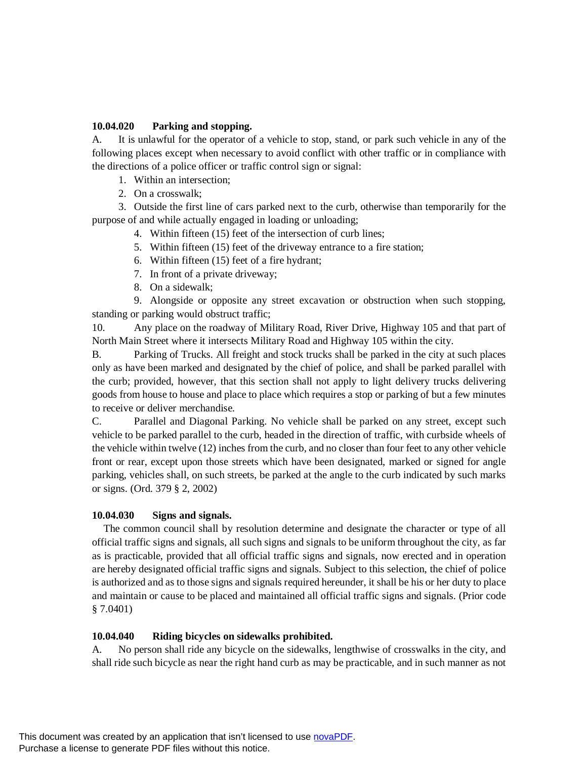#### **10.04.020 Parking and stopping.**

A. It is unlawful for the operator of a vehicle to stop, stand, or park such vehicle in any of the following places except when necessary to avoid conflict with other traffic or in compliance with the directions of a police officer or traffic control sign or signal:

- 1. Within an intersection;
- 2. On a crosswalk;

3. Outside the first line of cars parked next to the curb, otherwise than temporarily for the purpose of and while actually engaged in loading or unloading;

- 4. Within fifteen (15) feet of the intersection of curb lines;
- 5. Within fifteen (15) feet of the driveway entrance to a fire station;
- 6. Within fifteen (15) feet of a fire hydrant;
- 7. In front of a private driveway;
- 8. On a sidewalk;

9. Alongside or opposite any street excavation or obstruction when such stopping, standing or parking would obstruct traffic;

10. Any place on the roadway of Military Road, River Drive, Highway 105 and that part of North Main Street where it intersects Military Road and Highway 105 within the city.

B. Parking of Trucks. All freight and stock trucks shall be parked in the city at such places only as have been marked and designated by the chief of police, and shall be parked parallel with the curb; provided, however, that this section shall not apply to light delivery trucks delivering goods from house to house and place to place which requires a stop or parking of but a few minutes to receive or deliver merchandise.

C. Parallel and Diagonal Parking. No vehicle shall be parked on any street, except such vehicle to be parked parallel to the curb, headed in the direction of traffic, with curbside wheels of the vehicle within twelve (12) inches from the curb, and no closer than four feet to any other vehicle front or rear, except upon those streets which have been designated, marked or signed for angle parking, vehicles shall, on such streets, be parked at the angle to the curb indicated by such marks or signs. (Ord. 379 § 2, 2002)

#### **10.04.030 Signs and signals.**

The common council shall by resolution determine and designate the character or type of all official traffic signs and signals, all such signs and signals to be uniform throughout the city, as far as is practicable, provided that all official traffic signs and signals, now erected and in operation are hereby designated official traffic signs and signals. Subject to this selection, the chief of police is authorized and as to those signs and signals required hereunder, it shall be his or her duty to place and maintain or cause to be placed and maintained all official traffic signs and signals. (Prior code § 7.0401)

## **10.04.040 Riding bicycles on sidewalks prohibited.**

A. No person shall ride any bicycle on the sidewalks, lengthwise of crosswalks in the city, and shall ride such bicycle as near the right hand curb as may be practicable, and in such manner as not